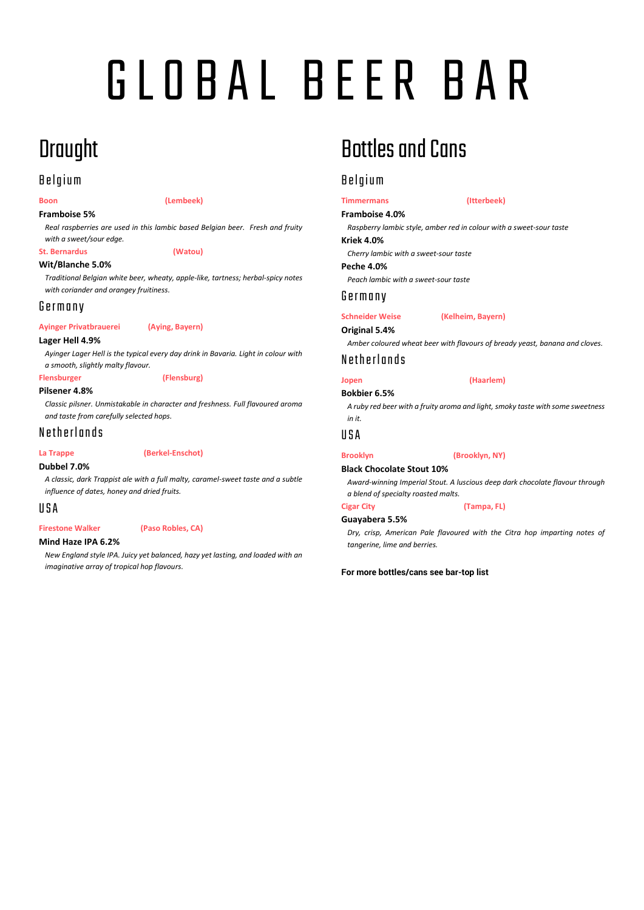# G L O B A L B E E R B AR

# **Draught**

## **Belgium**

### **Boon (Lembeek)**

**Framboise 5%**

*Real raspberries are used in this lambic based Belgian beer. Fresh and fruity with a sweet/sour edge.*

**St. Bernardus (Watou)**

### **Wit/Blanche 5.0%**

*Traditional Belgian white beer, wheaty, apple-like, tartness; herbal-spicy notes with coriander and orangey fruitiness.*

### G e r m a n y

**Ayinger Privatbrauerei (Aying, Bayern)**

### **Lager Hell 4.9%**

*Ayinger Lager Hell is the typical every day drink in Bavaria. Light in colour with a smooth, slightly malty flavour.*

### **Flensburger (Flensburg)**

**Pilsener 4.8%**

*Classic pilsner. Unmistakable in character and freshness. Full flavoured aroma and taste from carefully selected hops.*

Netherlands

### **La Trappe (Berkel-Enschot)**

### **Dubbel 7.0%**

*A classic, dark Trappist ale with a full malty, caramel-sweet taste and a subtle influence of dates, honey and dried fruits.*

### U S A

### **Firestone Walker (Paso Robles, CA)**

### **Mind Haze IPA 6.2%**

*New England style IPA. Juicy yet balanced, hazy yet lasting, and loaded with an imaginative array of tropical hop flavours.*

# Bottles and Cans

## **Belgium**

### **Timmermans (Itterbeek) Framboise 4.0%**

*Raspberry lambic style, amber red in colour with a sweet-sour taste*

**Kriek 4.0%**

*Cherry lambic with a sweet-sour taste*

**Peche 4.0%** *Peach lambic with a sweet-sour taste*

### G e r m a n y

**Schneider Weise (Kelheim, Bayern)**

**Original 5.4%**

*Amber coloured wheat beer with flavours of bready yeast, banana and cloves.*

### N e ther lands

### **Jopen (Haarlem) Bokbier 6.5%**

*A ruby red beer with a fruity aroma and light, smoky taste with some sweetness* 

### *in it.* U S A

### **Brooklyn (Brooklyn, NY)**

**Black Chocolate Stout 10%**

*Award-winning Imperial Stout. A luscious deep dark chocolate flavour through a blend of specialty roasted malts.*

**Cigar City (Tampa, FL)**

### **Guayabera 5.5%**

*Dry, crisp, American Pale flavoured with the Citra hop imparting notes of tangerine, lime and berries.*

### **For more bottles/cans see bar-top list**